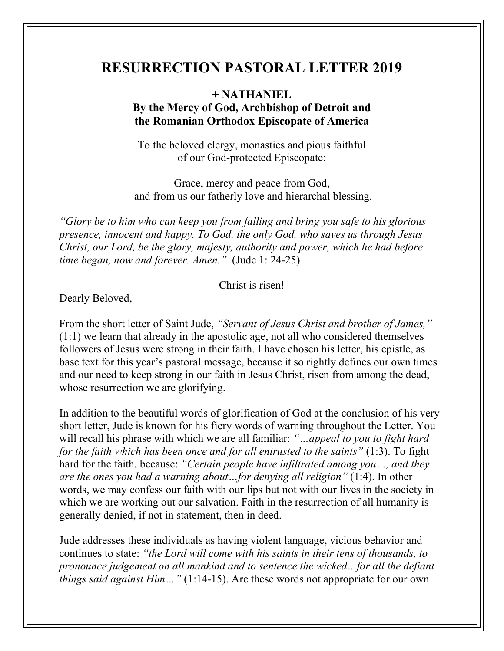## **RESURRECTION PASTORAL LETTER 2019**

## **+ NATHANIEL**

## **By the Mercy of God, Archbishop of Detroit and the Romanian Orthodox Episcopate of America**

To the beloved clergy, monastics and pious faithful of our God-protected Episcopate:

Grace, mercy and peace from God, and from us our fatherly love and hierarchal blessing.

*"Glory be to him who can keep you from falling and bring you safe to his glorious presence, innocent and happy. To God, the only God, who saves us through Jesus Christ, our Lord, be the glory, majesty, authority and power, which he had before time began, now and forever. Amen."* (Jude 1: 24-25)

Christ is risen!

Dearly Beloved,

From the short letter of Saint Jude, *"Servant of Jesus Christ and brother of James,"* (1:1) we learn that already in the apostolic age, not all who considered themselves followers of Jesus were strong in their faith. I have chosen his letter, his epistle, as base text for this year's pastoral message, because it so rightly defines our own times and our need to keep strong in our faith in Jesus Christ, risen from among the dead, whose resurrection we are glorifying.

In addition to the beautiful words of glorification of God at the conclusion of his very short letter, Jude is known for his fiery words of warning throughout the Letter. You will recall his phrase with which we are all familiar: *"…appeal to you to fight hard for the faith which has been once and for all entrusted to the saints"* (1:3). To fight hard for the faith, because: *"Certain people have infiltrated among you…, and they are the ones you had a warning about…for denying all religion"* (1:4). In other words, we may confess our faith with our lips but not with our lives in the society in which we are working out our salvation. Faith in the resurrection of all humanity is generally denied, if not in statement, then in deed.

Jude addresses these individuals as having violent language, vicious behavior and continues to state: *"the Lord will come with his saints in their tens of thousands, to pronounce judgement on all mankind and to sentence the wicked…for all the defiant things said against Him…"* (1:14-15). Are these words not appropriate for our own